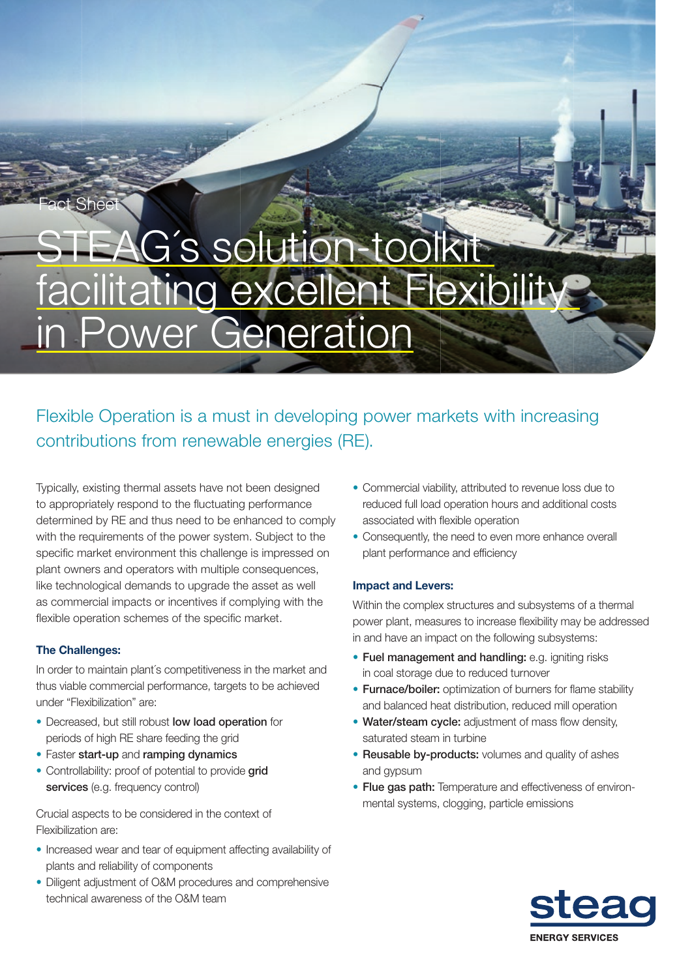# AG's solution-tool facilitating excellent Flexibility in Power Generation

# Flexible Operation is a must in developing power markets with increasing contributions from renewable energies (RE).

Typically, existing thermal assets have not been designed to appropriately respond to the fluctuating performance determined by RE and thus need to be enhanced to comply with the requirements of the power system. Subject to the specific market environment this challenge is impressed on plant owners and operators with multiple consequences, like technological demands to upgrade the asset as well as commercial impacts or incentives if complying with the flexible operation schemes of the specific market.

## The Challenges:

Fact Sheet

In order to maintain plant´s competitiveness in the market and thus viable commercial performance, targets to be achieved under "Flexibilization" are:

- Decreased, but still robust low load operation for periods of high RE share feeding the grid
- Faster start-up and ramping dynamics
- Controllability: proof of potential to provide grid services (e.g. frequency control)

Crucial aspects to be considered in the context of Flexibilization are:

- Increased wear and tear of equipment affecting availability of plants and reliability of components
- Diligent adjustment of O&M procedures and comprehensive technical awareness of the O&M team
- Commercial viability, attributed to revenue loss due to reduced full load operation hours and additional costs associated with flexible operation
- Consequently, the need to even more enhance overall plant performance and efficiency

### Impact and Levers:

Within the complex structures and subsystems of a thermal power plant, measures to increase flexibility may be addressed in and have an impact on the following subsystems:

- Fuel management and handling: e.g. igniting risks in coal storage due to reduced turnover
- Furnace/boiler: optimization of burners for flame stability and balanced heat distribution, reduced mill operation
- Water/steam cycle: adjustment of mass flow density, saturated steam in turbine
- Reusable by-products: volumes and quality of ashes and gypsum
- Flue gas path: Temperature and effectiveness of environmental systems, clogging, particle emissions